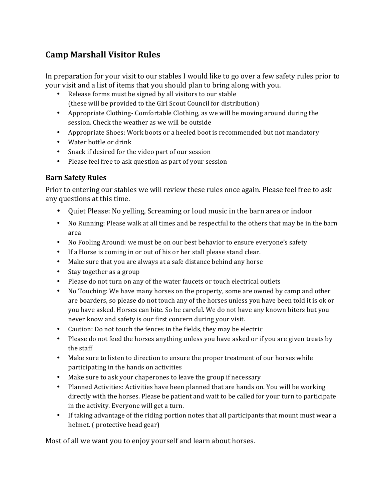# **Camp Marshall Visitor Rules**

In preparation for your visit to our stables I would like to go over a few safety rules prior to your visit and a list of items that you should plan to bring along with you.

- Release forms must be signed by all visitors to our stable (these will be provided to the Girl Scout Council for distribution)
- Appropriate Clothing-Comfortable Clothing, as we will be moving around during the session. Check the weather as we will be outside
- Appropriate Shoes: Work boots or a heeled boot is recommended but not mandatory
- Water bottle or drink
- Snack if desired for the video part of our session
- $\bullet$  Please feel free to ask question as part of your session

## **Barn Safety Rules**

Prior to entering our stables we will review these rules once again. Please feel free to ask any questions at this time.

- Quiet Please: No yelling, Screaming or loud music in the barn area or indoor
- No Running: Please walk at all times and be respectful to the others that may be in the barn area
- No Fooling Around: we must be on our best behavior to ensure everyone's safety
- If a Horse is coming in or out of his or her stall please stand clear.
- Make sure that you are always at a safe distance behind any horse
- Stay together as a group
- Please do not turn on any of the water faucets or touch electrical outlets
- No Touching: We have many horses on the property, some are owned by camp and other are boarders, so please do not touch any of the horses unless you have been told it is ok or you have asked. Horses can bite. So be careful. We do not have any known biters but you never know and safety is our first concern during your visit.
- Caution: Do not touch the fences in the fields, they may be electric
- Please do not feed the horses anything unless you have asked or if you are given treats by the staff
- Make sure to listen to direction to ensure the proper treatment of our horses while participating in the hands on activities
- Make sure to ask your chaperones to leave the group if necessary
- Planned Activities: Activities have been planned that are hands on. You will be working directly with the horses. Please be patient and wait to be called for your turn to participate in the activity. Everyone will get a turn.
- If taking advantage of the riding portion notes that all participants that mount must wear a helmet. (protective head gear)

Most of all we want you to enjoy yourself and learn about horses.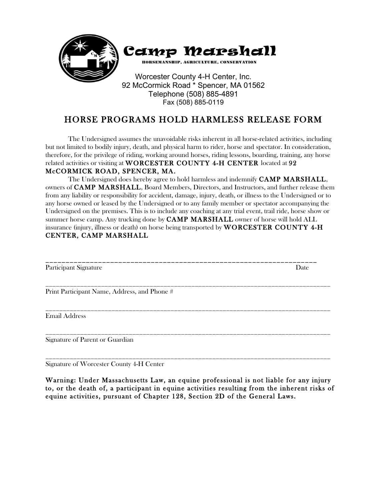

Telephone (508) 885-4891 Fax (508) 885-0119

# HORSE PROGRAMS HOLD HARMLESS RELEASE FORM

 The Undersigned assumes the unavoidable risks inherent in all horse-related activities, including but not limited to bodily injury, death, and physical harm to rider, horse and spectator. In consideration, therefore, for the privilege of riding, working around horses, riding lessons, boarding, training, any horse related activities or visiting at WORCESTER COUNTY 4-H CENTER located at 92 McCORMICK ROAD, SPENCER, MA.

The Undersigned does hereby agree to hold harmless and indemnify **CAMP MARSHALL**, owners of CAMP MARSHALL, Board Members, Directors, and Instructors, and further release them from any liability or responsibility for accident, damage, injury, death, or illness to the Undersigned or to any horse owned or leased by the Undersigned or to any family member or spectator accompanying the Undersigned on the premises. This is to include any coaching at any trial event, trail ride, horse show or summer horse camp. Any trucking done by **CAMP MARSHALL** owner of horse will hold ALL insurance (injury, illness or death) on horse being transported by **WORCESTER COUNTY 4-H** CENTER, CAMP MARSHALL

| Participant Signature                        | Date |
|----------------------------------------------|------|
| Print Participant Name, Address, and Phone # |      |
| <b>Email Address</b>                         |      |
| Signature of Parent or Guardian              |      |

Signature of Worcester County 4-H Center

Warning: Under Massachusetts Law, an equine professional is not liable for any injury to, or the death of, a participant in equine activities resulting from the inherent risks of equine activities, pursuant of Chapter 128, Section 2D of the General Laws.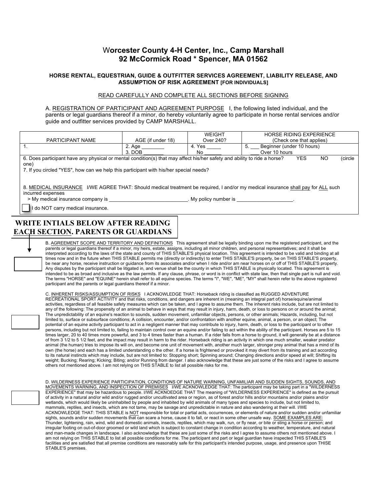### W**orcester County 4-H Center, Inc., Camp Marshall 92 McCormick Road \* Spencer, MA 01562**

#### **HORSE RENTAL, EQUESTRIAN, GUIDE & OUTFITTER SERVICES AGREEMENT, LIABILITY RELEASE, AND ASSUMPTION OF RISK AGREEMENT [FOR INDIVIDUALS]**

#### READ CAREFULLY AND COMPLETE ALL SECTIONS BEFORE SIGNING

A. REGISTRATION OF PARTICIPANT AND AGREEMENT PURPOSE I, the following listed individual, and the parents or legal guardians thereof if a minor, do hereby voluntarily agree to participate in horse rental services and/or guide and outfitter services provided by CAMP MARSHALL.

|                                                                                                                                                                                                                                                                                                                                                                                                                            |                   | <b>WEIGHT</b> | <b>HORSE RIDING EXPERIENCE</b>  |  |  |  |  |  |
|----------------------------------------------------------------------------------------------------------------------------------------------------------------------------------------------------------------------------------------------------------------------------------------------------------------------------------------------------------------------------------------------------------------------------|-------------------|---------------|---------------------------------|--|--|--|--|--|
| PARTICIPANT NAME                                                                                                                                                                                                                                                                                                                                                                                                           | AGE (if under 18) | Over 240?     | (Check one that applies)        |  |  |  |  |  |
|                                                                                                                                                                                                                                                                                                                                                                                                                            | 2. Age            | 4. Yes        | Beginner (under 10 hours)<br>5. |  |  |  |  |  |
|                                                                                                                                                                                                                                                                                                                                                                                                                            | $3.$ DOB          | No            | Over 10 hours                   |  |  |  |  |  |
| 6. Does participant have any physical or mental condition(s) that may affect his/her safety and ability to ride a horse?                                                                                                                                                                                                                                                                                                   |                   |               | <b>YES</b><br>NO.<br>(circle    |  |  |  |  |  |
| one)                                                                                                                                                                                                                                                                                                                                                                                                                       |                   |               |                                 |  |  |  |  |  |
| 7. If you circled "YES", how can we help this participant with his/her special needs?                                                                                                                                                                                                                                                                                                                                      |                   |               |                                 |  |  |  |  |  |
| 8. MEDICAL INSURANCE I/WE AGREE THAT: Should medical treatment be required, I and/or my medical insurance shall pay for ALL such<br>incurred expenses<br>My policy number is the contract of the contract of the contract of the contract of the contract of the contract of the contract of the contract of the contract of the contract of the contract of the contract of the contra<br>do NOT carry medical insurance. |                   |               |                                 |  |  |  |  |  |
| WRITE INTIALS BELOW AFTER READING                                                                                                                                                                                                                                                                                                                                                                                          |                   |               |                                 |  |  |  |  |  |

**EACH SECTION. PARENTS OR GUARDIANS MUST ALSO INITIAL.** B. AGREEMENT SCOPE AND TERRITORY AND DEFINITIONS This agreement shall be legally binding upon me the registered participant, and the parents or legal guardians thereof if a minor, my heirs, estate, assigns, including all minor children, and personal representatives; and it shall be<br>interpreted according to the laws of the state and county of THIS STABLE times now and in the future when THIS STABLE permits me (directly or indirectly) to enter THIS STABLE'S property, be on THIS STABLE'S property, be near any horse, receive instruction or guidance from its associates and/or when I ride and/or am near horses on or off of THIS STABLE'S property.

Any disputes by the participant shall be litigated in, and venue shall be the county in which THIS STABLE is physically located. This agreement is intended to be as broad and inclusive as the law permits. If any clause, phrase, or word is in conflict with state law, then that single part is null and void. The terms "HORSE" and "EQUINE" herein shall refer to all equine species. The terms "I", "WE", "ME", "MY" shall herein refer to the above registered participant and the parents or legal guardians thereof if a minor.

C. INHERENT RISKS/ASSUMPTION OF RISKS I ACKNOWLEDGE THAT: Horseback riding is classified as RUGGED ADVENTURE RECREATIONAL SPORT ACTIVITY and that risks, conditions, and dangers are inherent in (meaning an integral part of) horse/equine/animal activities, regardless of all feasible safety measures which can be taken, and I agree to assume them. The inherent risks include, but are not limited to any of the following: The propensity of an animal to behave in ways that may result in injury, harm, death, or loss to persons on or around the animal; The unpredictability of an equine's reaction to sounds, sudden movement, unfamiliar objects, persons, or other animals; Hazards, including, but not limited to, surface or subsurface conditions; A collision, encounter, and/or confrontation with another equine, animal, a person, or an object; The potential of an equine activity participant to act in a negligent manner that may contribute to injury, harm, death, or loss to the participant or to other persons, including but not limited to, failing to maintain control over an equine and/or failing to act within the ability of the participant. Horses are 5 to 15 times larger, 20 to 40 times more powerful, and 3 to 4 times faster than a human. If a rider falls from a horse to ground, it will generally be at a distance of from 3 1/2 to 5 1/2 feet, and the impact may result in harm to the rider. Horseback riding is an activity in which one much smaller, weaker predator animal (the human) tries to impose its will on, and become one unit of movement with, another much larger, stronger prey animal that has a mind of its own (the horse) and each has a limited understanding o the other. If a horse is frightened or provoked it may divert from its training and act according to its natural instincts which may include, but are not limited to: Stopping short; Spinning around; Changing directions and/or speed at will; Shifting its weight; Bucking; Rearing; Kicking; Biting; and/or Running from danger. I also acknowledge that these are just some of the risks and I agree to assume others not mentioned above. I am not relying on THIS STABLE to list all possible risks for me.

D. WILDERNESS EXPERIENCE PARTICIPATION, CONDITIONS OF NATURE WARNING, UNFAMILIAR AND SUDDEN SIGHTS, SOUNDS, AND MOVEMENTS WARNING, AND INSPECTION OF PREMISES I/WE ACKNOWLEDGE THAT: The participant may be taking part in a "WILDERNESS EXPERIENCE" that may be hazardous to people. I/WE ACKNOEDGE THAT The meaning of "WILDERNESS EXPERIENCE" is defined as the pursuit of activity in a natural and/or wild and/or rugged and/or uncultivated area or region, as of forest and/or hills and/or mountains and/or plains and/or wetlands, which would likely be uninhabited by people and inhabited by wild animals of many types and species to include, but not limited to, mammals, reptiles, and insects, which are not tame, may be savage and unpredictable in nature and also wandering at their will. I/WE ACKNOWLEDGE THAT: THIS STABLE is NOT responsible for total or partial acts, occurrences, or elements of nature and/or sudden and/or unfamiliar sights, sounds and/or sudden movements that can scare a horse, cause it to fall, or react in some other unsafe way. SOME EXAMPLES ARE: Thunder, lightening, rain, wind, wild and domestic animals, insects, reptiles, which may walk, run, or fly near, or bite or sting a horse or person; and irregular footing on out-of-door groomed or wild land which is subject to constant change in condition according to weather, temperature, and natural and man-made changes in landscape. I also acknowledge that these are just some of the risks and I agree to assume others not mentioned above. I am not relying on THIS STABLE to list all possible conditions for me. The participant and part or legal guardian have inspected THIS STABLE'S facilities and are satisfied that all premise conditions are reasonably safe for this participant's intended purpose, usage, and presence upon THISE STABLE'S premises.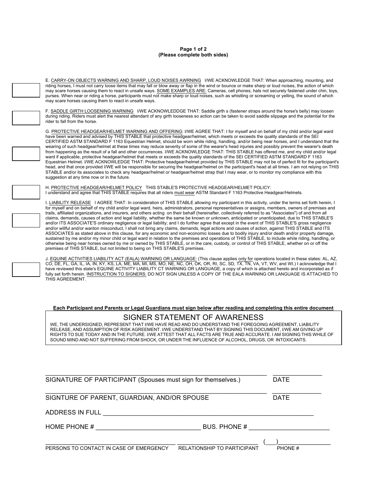#### **Page 1 of 2 (Please complete both sides)**

E. CARRY-ON OBJECTS WARNING AND SHARP, LOUD NOISES AWRNING I/WE ACKNOWLEDGE THAT: When approaching, mounting, and riding horses, I must not carry loose items that may fall or blow away or flap in the wind or bounce or make sharp or loud noises, the action of which<br>may scare horses causing them to react in unsafe ways. SOME EXAMPLES AR purses. When near or riding a horse, participants must not make sharp or loud noises, such as whistling or screaming or yelling, the sound of which may scare horses causing them to react in unsafe ways.

F. SADDLE GIRTH LOOSENING WARNING I/WE ACKNOWLEDDGE THAT: Saddle girth s (fastener straps around the horse's belly) may loosen during riding. Riders must alert the nearest attendant of any girth looseness so action can be taken to avoid saddle slippage and the potential for the rider to fall from the horse.

G. PROTECTIVE HEADGEAR/HELMET WARNING AND OFFERING: I/WE AGREE THAT: I for myself and on behalf of my child and/or legal ward have been warned and advised by THIS STABLE that protective headgear/helmet, which meets or exceeds the quality standards of the SEI CERTIFIED ASTM STANDARD F 1163 Equestrian Helmet, should be worn while riding, handling, and/or being near horses, and I understand that the wearing of such headgear/helmet at these times may reduce severity of some of the wearer's head injuries and possibly prevent the wearer's death from happening as the result of a fall and other occurrences. I/WE ACKNOWLEDGE THAT: THIS STABLE has offered me, and my child and/or legal ward if applicable, protective headgear/helmet that meets or exceeds the quality standards of the SEI CERTIFIED ASTM STANDARD F 1163 Equestrian Helmet. I/WE ACKNOWLEDGE THAT: Protective headgear/helmet provided by THIS STABLE may not be of perfect fit for the participant's head, and that once provided I/WE will be responsible for securing the headgear/helmet on the participant's head at all times. I am not relying on THIS STABLE and/or its associates to check any headgear/helmet or headgear/helmet strap that I may wear, or to monitor my compliance with this suggestion at any time now or in the future.

H. <u>PROTECTIVE HEADGEAR/HELMET POLICY</u> THIS STABLE'S PROTECTIVE HEADGEAR/HELMET POLICY:<br>I understand and agree that THIS STABLE requires that all riders must wear ASTM Standard F 1163 Protective Headgear/Helmets.

I. LIABILITY RELEASE I AGREE THAT: In consideration of THIS STABLE allowing my participant in this activity, under the terms set forth herein, I for myself and on behalf of my child and/or legal ward, heirs, administrators, personal representatives or assigns, members, owners of premises and trails, affiliated organizations, and insurers, and others acting on their behalf (hereinafter, collectively referred to as "Associates") of and from all claims, demands, causes of action and legal liability, whether the same be known or unknown, anticipated or unanticipated, due to THIS STABLE'S and/or ITS ASSOCIATE'S ordinary negligence or legal liability; and I do further agree that except in the event of THIS STABLE'S gross negligence and/or willful and/or wanton misconduct, I shall not bring any claims, demands, legal actions and causes of action, against THIS STABLE and ITS ASSOCIATES as stated above in this clause, for any economic and non-economic losses due to bodily injury and/or death and/or property damage, sustained by me and/or my minor child or legal ward in relation to the premises and operations of THIS STABLE, to include while riding, handling, or<br>otherwise being near horses owned by me or owned by THIS STABLE, or in t premises of THIS STABLE, but not limited to being on THIS STABLE'S premises.

J. EQUINE ACTIVITIES LIABILITY ACT (EALA) WARNING OR LANGUAGE: (This clause applies only for operations located in these states: AL, AZ, CO, DE, FL, GA, IL, IA, IN, KY, KS, LA, ME, MA, MI, MS, MO, NE, NC, OH, OK, OR, RI, SC, SD, TX, TN, VA, VT, WV, and WI.) I acknowledge that I<br>have reviewed this state's EQUINE ACTIVITY LIABILITY CT WARNING OR LANGUAGE, a c fully set forth herein. INSTRUCTION TO SIGNERS: DO NOT SIGN UNLESS A COPY OF THE EALA WARNING OR LANGUAGE IS ATTACHED TO THIS AGREEMENT.

**Each Participant and Parents or Legal Guardians must sign below after reading and completing this entire document**

#### SIGNER STATEMENT OF AWARENESS

WE, THE UNDERSIGNED, REPRESENT THAT I/WE HAVE READ AND DO UNDERSTAND THE FOREGOING AGREEMENT, LIABILITY RELEASE, AND ASSUMPTION OF RISK AGREEMENT. I/WE UNDERSTAND THAT BY SIGNING THIS DOCUMENT, I/WE AM GIVING UP RIGHTS TO SUE TODAY AND IN THE FUTURE. I/WE ATTEST THAT ALL FACTS ARE TRUE AND ACCURATE. I AM SIGNING THIS WHILE OF SOUND MIND AND NOT SUFFERING FROM SHOCK, OR UNDER THE INFLUENCE OF ALCOHOL, DRUGS, OR INTOXICANTS.

| SIGNATURE OF PARTICIPANT (Spouses must sign for themselves.) | DATE                               |        |
|--------------------------------------------------------------|------------------------------------|--------|
| SIGNTURE OF PARENT, GUARDIAN, AND/OR SPOUSE                  |                                    | DATE   |
| ADDRESS IN FULL                                              |                                    |        |
| HOME PHONE #                                                 | BUS, PHONE #                       |        |
| PERSONS TO CONTACT IN CASE OF EMERGENCY                      | <b>RELATIONSHIP TO PARTICIPANT</b> | PHONE# |

\_\_\_\_\_\_\_\_\_\_\_\_\_\_\_\_\_\_\_\_\_\_\_\_\_\_\_\_\_\_\_\_\_\_\_\_\_\_\_\_\_\_\_\_\_\_\_\_\_\_\_\_\_\_\_\_\_\_\_\_\_\_\_ \_\_\_\_\_\_\_\_\_\_\_\_\_\_